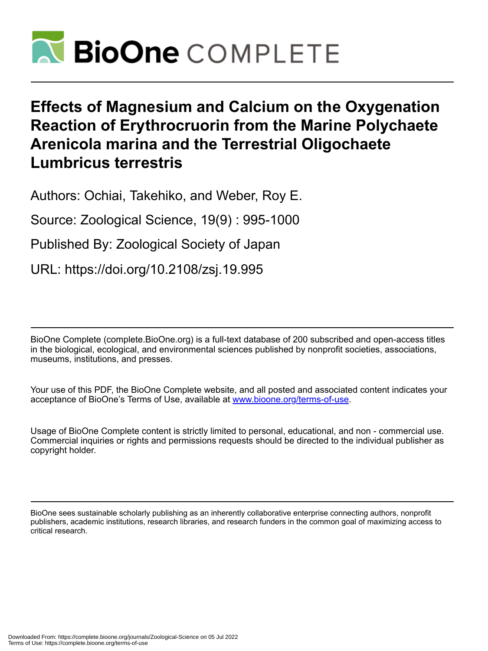

# **Effects of Magnesium and Calcium on the Oxygenation Reaction of Erythrocruorin from the Marine Polychaete Arenicola marina and the Terrestrial Oligochaete Lumbricus terrestris**

Authors: Ochiai, Takehiko, and Weber, Roy E.

Source: Zoological Science, 19(9) : 995-1000

Published By: Zoological Society of Japan

URL: https://doi.org/10.2108/zsj.19.995

BioOne Complete (complete.BioOne.org) is a full-text database of 200 subscribed and open-access titles in the biological, ecological, and environmental sciences published by nonprofit societies, associations, museums, institutions, and presses.

Your use of this PDF, the BioOne Complete website, and all posted and associated content indicates your acceptance of BioOne's Terms of Use, available at www.bioone.org/terms-of-use.

Usage of BioOne Complete content is strictly limited to personal, educational, and non - commercial use. Commercial inquiries or rights and permissions requests should be directed to the individual publisher as copyright holder.

BioOne sees sustainable scholarly publishing as an inherently collaborative enterprise connecting authors, nonprofit publishers, academic institutions, research libraries, and research funders in the common goal of maximizing access to critical research.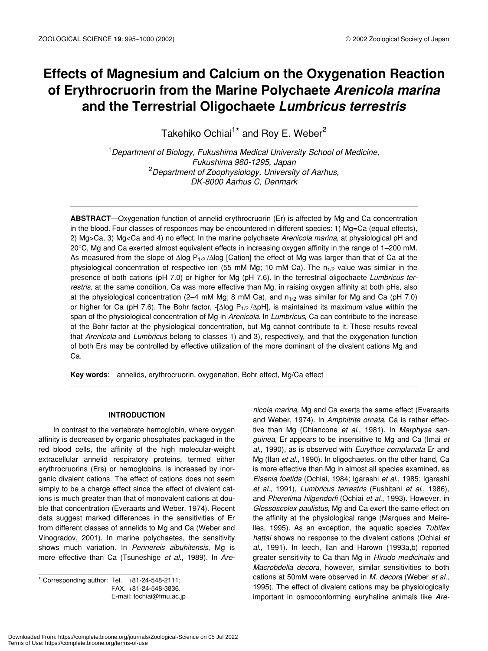## **Effects of Magnesium and Calcium on the Oxygenation Reaction of Erythrocruorin from the Marine Polychaete** *Arenicola marina* **and the Terrestrial Oligochaete** *Lumbricus terrestris*

Takehiko Ochiai<sup>1\*</sup> and Roy E. Weber<sup>2</sup>

1 *Department of Biology, Fukushima Medical University School of Medicine, Fukushima 960-1295, Japan* 2 *Department of Zoophysiology, University of Aarhus, DK-8000 Aarhus C, Denmark*

**ABSTRACT**—Oxygenation function of annelid erythrocruorin (Er) is affected by Mg and Ca concentration in the blood. Four classes of responces may be encountered in different species: 1) Mg=Ca (equal effects), 2) Mg>Ca, 3) Mg<Ca and 4) no effect. In the marine polychaete *Arenicola marina*, at physiological pH and 20°C, Mg and Ca exerted almost equivalent effects in increasing oxygen affinity in the range of 1–200 mM. As measured from the slope of ∆log P<sub>1/2</sub> /∆log [Cation] the effect of Mg was larger than that of Ca at the physiological concentration of respective ion (55 mM Mg; 10 mM Ca). The  $n_{1/2}$  value was similar in the presence of both cations (pH 7.0) or higher for Mg (pH 7.6). In the terrestrial oligochaete *Lumbricus terrestris,* at the same condition, Ca was more effective than Mg, in raising oxygen affinity at both pHs, also at the physiological concentration (2-4 mM Mg; 8 mM Ca), and  $n_{1/2}$  was similar for Mg and Ca (pH 7.0) or higher for Ca (pH 7.6). The Bohr factor, -[ $\Delta$ log P<sub>1/2</sub> / $\Delta$ pH], is maintained its maximum value within the span of the physiological concentration of Mg in *Arenicola*. In *Lumbricus*, Ca can contribute to the increase of the Bohr factor at the physiological concentration, but Mg cannot contribute to it. These results reveal that *Arenicola* and *Lumbricus* belong to classes 1) and 3), respectively, and that the oxygenation function of both Ers may be controlled by effective utilization of the more dominant of the divalent cations Mg and Ca.

**Key words**: annelids, erythrocruorin, oxygenation, Bohr effect, Mg/Ca effect

#### **INTRODUCTION**

In contrast to the vertebrate hemoglobin, where oxygen affinity is decreased by organic phosphates packaged in the red blood cells, the affinity of the high molecular-weight extracellular annelid respiratory proteins, termed either erythrocruorins (Ers) or hemoglobins, is increased by inorganic divalent cations. The effect of cations does not seem simply to be a charge effect since the effect of divalent cations is much greater than that of monovalent cations at double that concentration (Everaarts and Weber, 1974). Recent data suggest marked differences in the sensitivities of Er from different classes of annelids to Mg and Ca (Weber and Vinogradov, 2001). In marine polychaetes, the sensitivity shows much variation. In *Perinereis aibuhitensis*, Mg is more effective than Ca (Tsuneshige *et al*., 1989). In *Are-*

\* Corresponding author: Tel. +81-24-548-2111; FAX. +81-24-548-3836. E-mail: tochiai@fmu.ac.jp

*nicola marina*, Mg and Ca exerts the same effect (Everaarts and Weber, 1974). In *Amphitrite ornata*, Ca is rather effective than Mg (Chiancone *et al*., 1981). In *Marphysa sanguinea*, Er appears to be insensitive to Mg and Ca (Imai *et al*., 1990), as is observed with *Eurythoe complanata* Er and Mg (Ilan *et al*., 1990). In oligochaetes, on the other hand, Ca is more effective than Mg in almost all species examined, as *Eisenia foetida* (Ochiai, 1984; Igarashi *et al*., 1985; Igarashi *et al*., 1991), *Lumbricus terrestris* (Fushitani *et al*., 1986), and *Pheretima hilgendorfi* (Ochiai *et al*., 1993). However, in *Glossoscolex paulistus*, Mg and Ca exert the same effect on the affinity at the physiological range (Marques and Meirelles, 1995). As an exception, the aquatic species *Tubifex hattai* shows no response to the divalent cations (Ochiai *et al*., 1991). In leech, Ilan and Harown (1993a,b) reported greater sensitivity to Ca than Mg in *Hirudo medicinalis* and *Macrobdella decora*, however, similar sensitivities to both cations at 50mM were observed in *M. decora* (Weber *et al*., 1995). The effect of divalent cations may be physiologically important in osmoconforming euryhaline animals like *Are-*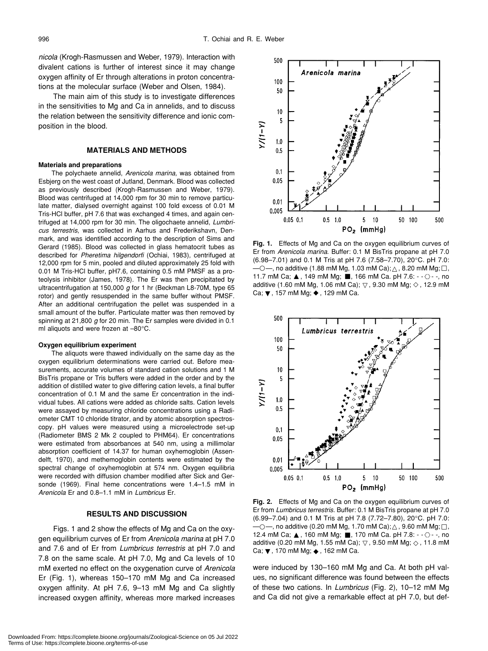*nicola* (Krogh-Rasmussen and Weber, 1979). Interaction with divalent cations is further of interest since it may change oxygen affinity of Er through alterations in proton concentrations at the molecular surface (Weber and Olsen, 1984).

The main aim of this study is to investigate differences in the sensitivities to Mg and Ca in annelids, and to discuss the relation between the sensitivity difference and ionic composition in the blood.

#### **MATERIALS AND METHODS**

#### **Materials and preparations**

The polychaete annelid, *Arenicola marina*, was obtained from Esbjerg on the west coast of Jutland, Denmark. Blood was collected as previously described (Krogh-Rasmussen and Weber, 1979). Blood was centrifuged at 14,000 rpm for 30 min to remove particulate matter, dialysed overnight against 100 fold excess of 0.01 M Tris-HCl buffer, pH 7.6 that was exchanged 4 times, and again centrifuged at 14,000 rpm for 30 min. The oligochaete annelid, *Lumbricus terrestris*, was collected in Aarhus and Frederikshavn, Denmark, and was identified according to the description of Sims and Gerard (1985). Blood was collected in glass hematocrit tubes as described for *Pheretima hilgendorfi* (Ochiai, 1983), centrifuged at 12,000 rpm for 5 min, pooled and diluted approximately 25 fold with 0.01 M Tris-HCl buffer, pH7.6, containing 0.5 mM PMSF as a proteolysis inhibitor (James, 1978). The Er was then precipitated by ultracentrifugation at 150,000 *g* for 1 hr (Beckman L8-70M, type 65 rotor) and gently resuspended in the same buffer without PMSF. After an additional centrifugation the pellet was suspended in a small amount of the buffer. Particulate matter was then removed by spinning at 21,800 *g* for 20 min. The Er samples were divided in 0.1 ml aliquots and were frozen at –80°C.

#### **Oxygen equilibrium experiment**

The aliquots were thawed individually on the same day as the oxygen equilibrium determinations were carried out. Before measurements, accurate volumes of standard cation solutions and 1 M BisTris propane or Tris buffers were added in the order and by the addition of distilled water to give differing cation levels, a final buffer concentration of 0.1 M and the same Er concentration in the individual tubes. All cations were added as chloride salts. Cation levels were assayed by measuring chloride concentrations using a Radiometer CMT 10 chloride titrator, and by atomic absorption spectroscopy. pH values were measured using a microelectrode set-up (Radiometer BMS 2 Mk 2 coupled to PHM64). Er concentrations were estimated from absorbances at 540 nm, using a millimolar absorption coefficient of 14.37 for human oxyhemoglobin (Assendelft, 1970), and methemoglobin contents were estimated by the spectral change of oxyhemoglobin at 574 nm. Oxygen equilibria were recorded with diffusion chamber modified after Sick and Gersonde (1969). Final heme concentrations were 1.4–1.5 mM in *Arenicola* Er and 0.8–1.1 mM in *Lumbricus* Er.

### **RESULTS AND DISCUSSION**

Figs. 1 and 2 show the effects of Mg and Ca on the oxygen equilibrium curves of Er from *Arenicola marina* at pH 7.0 and 7.6 and of Er from *Lumbricus terrestris* at pH 7.0 and 7.8 on the same scale. At pH 7.0, Mg and Ca levels of 10 mM exerted no effect on the oxygenation curve of *Arenicola* Er (Fig. 1), whereas 150–170 mM Mg and Ca increased oxygen affinity. At pH 7.6, 9–13 mM Mg and Ca slightly increased oxygen affinity, whereas more marked increases



**Fig. 1.** Effects of Mg and Ca on the oxygen equilibrium curves of Er from *Arenicola marina*. Buffer: 0.1 M BisTris propane at pH 7.0 (6.98–7.01) and 0.1 M Tris at pH 7.6 (7.58–7.70), 20°C. pH 7.0:  $-$ , no additive (1.88 mM Mg, 1.03 mM Ca); , 8.20 mM Mg; , 11.7 mM Ca; , 149 mM Mg; , 166 mM Ca. pH 7.6:  $-\circ -$ , no additive (1.60 mM Mg, 1.06 mM Ca); , 9.30 mM Mg; , 12.9 mM additive  $(1.60 \text{ mM Mg}, 1.06 \text{ mM Ca});$ Ca; , 157 mM Mg; , 129 mM Ca.



**Fig. 2.** Effects of Mg and Ca on the oxygen equilibrium curves of Er from *Lumbricus terrestris*. Buffer: 0.1 M BisTris propane at pH 7.0 (6.99–7.04) and 0.1 M Tris at pH 7.8 (7.72–7.80), 20°C. pH 7.0:  $-$ , no additive (0.20 mM Mg, 1.70 mM Ca); , 9.60 mM Mg; , 12.4 mM Ca; , 160 mM Mg; , 170 mM Ca. pH 7.8:  $-\Diamond -$ , no additive (0.20 mM Mg, 1.55 mM Ca); , 9.50 mM Mg; , 11.8 mM Ca; , 170 mM Mg; , 162 mM Ca.

were induced by 130–160 mM Mg and Ca. At both pH values, no significant difference was found between the effects of these two cations. In *Lumbricus* (Fig. 2), 10–12 mM Mg and Ca did not give a remarkable effect at pH 7.0, but def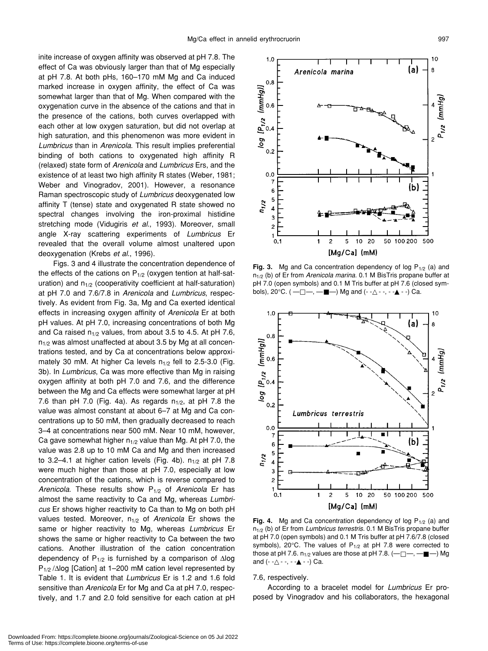inite increase of oxygen affinity was observed at pH 7.8. The effect of Ca was obviously larger than that of Mg especially at pH 7.8. At both pHs, 160–170 mM Mg and Ca induced marked increase in oxygen affinity, the effect of Ca was somewhat larger than that of Mg. When compared with the oxygenation curve in the absence of the cations and that in the presence of the cations, both curves overlapped with each other at low oxygen saturation, but did not overlap at high saturation, and this phenomenon was more evident in *Lumbricus* than in *Arenicola*. This result implies preferential binding of both cations to oxygenated high affinity R (relaxed) state form of *Arenicola* and *Lumbricus* Ers, and the existence of at least two high affinity R states (Weber, 1981; Weber and Vinogradov, 2001). However, a resonance Raman spectroscopic study of *Lumbricus* deoxygenated low affinity T (tense) state and oxygenated R state showed no spectral changes involving the iron-proximal histidine stretching mode (Vidugiris *et al*., 1993). Moreover, small angle X-ray scattering experiments of *Lumbricus* Er revealed that the overall volume almost unaltered upon deoxygenation (Krebs *et al*., 1996).

Figs. 3 and 4 illustrate the concentration dependence of the effects of the cations on  $P_{1/2}$  (oxygen tention at half-saturation) and  $n_{1/2}$  (cooperativity coefficient at half-saturation) at pH 7.0 and 7.6/7.8 in *Arenicola* and *Lumbricus*, respectively. As evident from Fig. 3a, Mg and Ca exerted identical effects in increasing oxygen affinity of *Arenicola* Er at both pH values. At pH 7.0, increasing concentrations of both Mg and Ca raised  $n_{1/2}$  values, from about 3.5 to 4.5. At pH 7.6,  $n_{1/2}$  was almost unaffected at about 3.5 by Mg at all concentrations tested, and by Ca at concentrations below approximately 30 mM. At higher Ca levels  $n_{1/2}$  fell to 2.5-3.0 (Fig. 3b). In *Lumbricus*, Ca was more effective than Mg in raising oxygen affinity at both pH 7.0 and 7.6, and the difference between the Mg and Ca effects were somewhat larger at pH 7.6 than pH 7.0 (Fig. 4a). As regards  $n_{1/2}$ , at pH 7.8 the value was almost constant at about 6–7 at Mg and Ca concentrations up to 50 mM, then gradually decreased to reach 3–4 at concentrations near 500 mM. Near 10 mM, however, Ca gave somewhat higher  $n_{1/2}$  value than Mg. At pH 7.0, the value was 2.8 up to 10 mM Ca and Mg and then increased to 3.2-4.1 at higher cation levels (Fig. 4b).  $n_{1/2}$  at pH 7.8 were much higher than those at pH 7.0, especially at low concentration of the cations, which is reverse compared to *Arenicola*. These results show P1/2 of *Arenicola* Er has almost the same reactivity to Ca and Mg, whereas *Lumbricus* Er shows higher reactivity to Ca than to Mg on both pH values tested. Moreover, n<sub>1/2</sub> of *Arenicola* Er shows the same or higher reactivity to Mg, whereas *Lumbricus* Er shows the same or higher reactivity to Ca between the two cations. Another illustration of the cation concentration dependency of P1/2 is furnished by a comparison of ∆log P<sub>1/2</sub> /∆log [Cation] at 1–200 mM cation level represented by Table 1. It is evident that *Lumbricus* Er is 1.2 and 1.6 fold sensitive than *Arenicola* Er for Mg and Ca at pH 7.0, respectively, and 1.7 and 2.0 fold sensitive for each cation at pH



**Fig. 3.** Mg and Ca concentration dependency of log  $P_{1/2}$  (a) and n1/2 (b) of Er from *Arenicola marina*. 0.1 M BisTris propane buffer at pH 7.0 (open symbols) and 0.1 M Tris buffer at pH 7.6 (closed symbols),  $20^{\circ}$ C. ( — —, — —) Mg and (- - --, - - --) Ca.



**Fig. 4.** Mg and Ca concentration dependency of log  $P_{1/2}$  (a) and n1/2 (b) of Er from *Lumbricus terrestris*. 0.1 M BisTris propane buffer at pH 7.0 (open symbols) and 0.1 M Tris buffer at pH 7.6/7.8 (closed symbols), 20 $^{\circ}$ C. The values of P<sub>1/2</sub> at pH 7.8 were corrected to those at pH 7.6.  $n_{1/2}$  values are those at pH 7.8.  $(---,---)$  Mg and  $(- - - -, - - - -)$  Ca.

7.6, respectively.

According to a bracelet model for *Lumbricus* Er proposed by Vinogradov and his collaborators, the hexagonal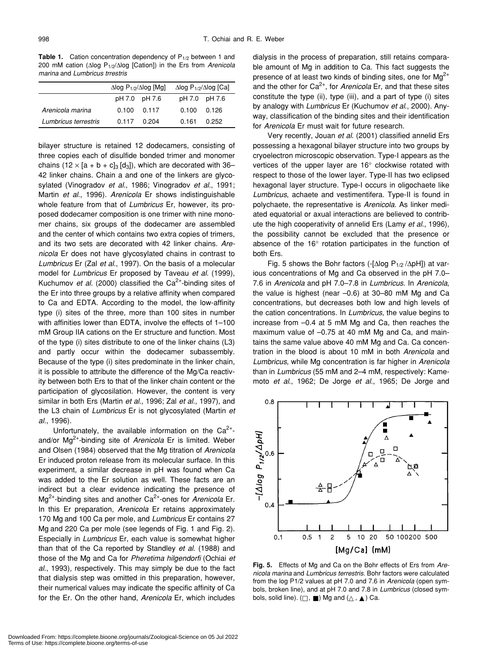**Table 1.** Cation concentration dependency of P<sub>1/2</sub> between 1 and 200 mM cation (∆log P1/2/∆log [Cation]) in the Ers from *Arenicola marina* and *Lumbricus trrestris*

|                      | $\Delta$ log P <sub>1/2</sub> / $\Delta$ log [Mg] |                     | $\Delta$ log P <sub>1/2</sub> / $\Delta$ log [Ca] |  |
|----------------------|---------------------------------------------------|---------------------|---------------------------------------------------|--|
|                      |                                                   | pH 7.0 pH 7.6       | pH 7.0 pH 7.6                                     |  |
| Arenicola marina     |                                                   | $0.100 \quad 0.117$ | $0.100 \quad 0.126$                               |  |
| Lumbricus terrestris | 0.117                                             | 0.204               | $0.161$ 0.252                                     |  |

bilayer structure is retained 12 dodecamers, consisting of three copies each of disulfide bonded trimer and monomer chains (12 × [a + b + c]<sub>3</sub> [d<sub>3</sub>]), which are decorated with 36– 42 linker chains. Chain a and one of the linkers are glycosylated (Vinogradov *et al*., 1986; Vinogradov *et al*., 1991; Martin *et al*., 1996). *Arenicola* Er shows indistinguishable whole feature from that of *Lumbricus* Er, however, its proposed dodecamer composition is one trimer with nine monomer chains, six groups of the dodecamer are assembled and the center of which contains two extra copies of trimers, and its two sets are decorated with 42 linker chains. *Arenicola* Er does not have glycosylated chains in contrast to *Lumbricus* Er (Zal *et al*., 1997). On the basis of a molecular model for *Lumbricus* Er proposed by Taveau *et al*. (1999), Kuchumov *et al.* (2000) classified the Ca<sup>2+</sup>-binding sites of the Er into three groups by a relative affinity when compared to Ca and EDTA. According to the model, the low-affinity type (i) sites of the three, more than 100 sites in number with affinities lower than EDTA, involve the effects of 1–100 mM Group IIA cations on the Er structure and function. Most of the type (i) sites distribute to one of the linker chains (L3) and partly occur within the dodecamer subassembly. Because of the type (i) sites predominate in the linker chain, it is possible to attribute the difference of the Mg/Ca reactivity between both Ers to that of the linker chain content or the participation of glycosilation. However, the content is very similar in both Ers (Martin *et al*., 1996; Zal *et al*., 1997), and the L3 chain of *Lumbricus* Er is not glycosylated (Martin *et al.*, 1996).

Unfortunately, the available information on the  $Ca^{2+}$ and/or Mg2+-binding site of *Arenicola* Er is limited. Weber and Olsen (1984) observed that the Mg titration of *Arenicola* Er induced proton release from its molecular surface. In this experiment, a similar decrease in pH was found when Ca was added to the Er solution as well. These facts are an indirect but a clear evidence indicating the presence of Mg<sup>2+</sup>-binding sites and another Ca<sup>2+</sup>-ones for *Arenicola* Er. In this Er preparation, *Arenicola* Er retains approximately 170 Mg and 100 Ca per mole, and *Lumbricus* Er contains 27 Mg and 220 Ca per mole (see legends of Fig. 1 and Fig. 2). Especially in *Lumbricus* Er, each value is somewhat higher than that of the Ca reported by Standley *et al*. (1988) and those of the Mg and Ca for *Pheretima hilgendorfi* (Ochiai *et al*., 1993), respectively. This may simply be due to the fact that dialysis step was omitted in this preparation, however, their numerical values may indicate the specific affinity of Ca for the Er. On the other hand, *Arenicola* Er, which includes dialysis in the process of preparation, still retains comparable amount of Mg in addition to Ca. This fact suggests the presence of at least two kinds of binding sites, one for  $\text{Mg}^{2+}$ and the other for Ca<sup>2+</sup>, for *Arenicola* Er, and that these sites constitute the type (ii), type (iii), and a part of type (i) sites by analogy with *Lumbricus* Er (Kuchumov *et al*., 2000). Anyway, classification of the binding sites and their identification for *Arenicola* Er must wait for future research.

Very recently, Jouan *et al*. (2001) classified annelid Ers possessing a hexagonal bilayer structure into two groups by cryoelectron microscopic observation. Type-I appears as the vertices of the upper layer are 16° clockwise rotated with respect to those of the lower layer. Type-II has two eclipsed hexagonal layer structure. Type-I occurs in oligochaete like *Lumbricus*, achaete and vestimentifera. Type-II is found in polychaete, the representative is *Arenicola*. As linker mediated equatorial or axual interactions are believed to contribute the high cooperativity of annelid Ers (Lamy *et al*., 1996), the possibility cannot be excluded that the presence or absence of the 16° rotation participates in the function of both Ers.

Fig. 5 shows the Bohr factors (-[∆log P1/2 /∆pH]) at various concentrations of Mg and Ca observed in the pH 7.0– 7.6 in *Arenicola* and pH 7.0–7.8 in *Lumbricus*. In *Arenicola*, the value is highest (near –0.6) at 30–80 mM Mg and Ca concentrations, but decreases both low and high levels of the cation concentrations. In *Lumbricus*, the value begins to increase from –0.4 at 5 mM Mg and Ca, then reaches the maximum value of –0.75 at 40 mM Mg and Ca, and maintains the same value above 40 mM Mg and Ca. Ca concentration in the blood is about 10 mM in both *Arenicola* and *Lumbricus*, while Mg concentration is far higher in *Arenicola* than in *Lumbricus* (55 mM and 2–4 mM, respectively: Kamemoto *et al*., 1962; De Jorge *et al*., 1965; De Jorge and



**Fig. 5.** Effects of Mg and Ca on the Bohr effects of Ers from *Arenicola marina* and *Lumbricus terrestris.* Bohr factors were calculated from the log P1/2 values at pH 7.0 and 7.6 in *Arenicola* (open symbols, broken line), and at pH 7.0 and 7.8 in *Lumbricus* (closed symbols, solid line).  $( , )$  Mg and  $( , )$  Ca.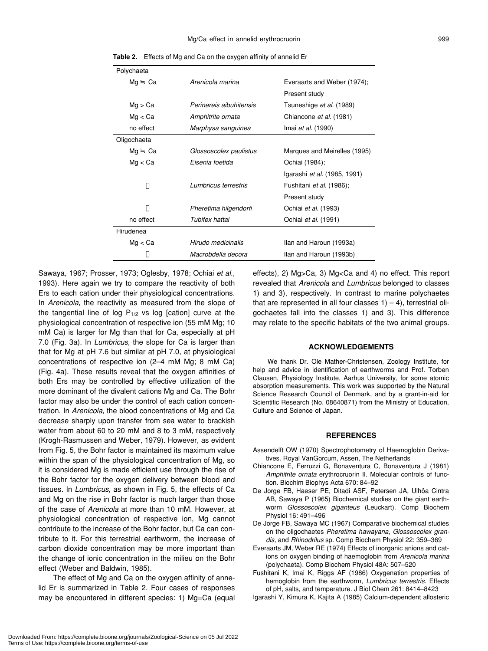| Polychaeta  |                         |                                     |
|-------------|-------------------------|-------------------------------------|
| Mg<br>Ca    | Arenicola marina        | Everaarts and Weber (1974);         |
|             |                         | Present study                       |
| Mg > Ca     | Perinereis aibuhitensis | Tsuneshige et al. (1989)            |
| Mg < Ca     | Amphitrite ornata       | Chiancone et al. (1981)             |
| no effect   | Marphysa sanguinea      | Imai <i>et al.</i> (1990)           |
| Oligochaeta |                         |                                     |
| Mg<br>Ca    | Glossoscolex paulistus  | Marques and Meirelles (1995)        |
| Mg < Ca     | Eisenia foetida         | Ochiai (1984);                      |
|             |                         | Igarashi <i>et al.</i> (1985, 1991) |
|             | Lumbricus terrestris    | Fushitani et al. (1986);            |
|             |                         | Present study                       |
|             | Pheretima hilgendorfi   | Ochiai et al. (1993)                |
| no effect   | Tubifex hattai          | Ochiai <i>et al.</i> (1991)         |
| Hirudenea   |                         |                                     |
| Mq < Ca     | Hirudo medicinalis      | Ilan and Haroun (1993a)             |
|             | Macrobdella decora      | Ilan and Haroun (1993b)             |

**Table 2.** Effects of Mg and Ca on the oxygen affinity of annelid Er

Sawaya, 1967; Prosser, 1973; Oglesby, 1978; Ochiai *et al*., 1993). Here again we try to compare the reactivity of both Ers to each cation under their physiological concentrations. In *Arenicola*, the reactivity as measured from the slope of the tangential line of log  $P_{1/2}$  vs log [cation] curve at the physiological concentration of respective ion (55 mM Mg; 10 mM Ca) is larger for Mg than that for Ca, especially at pH 7.0 (Fig. 3a). In *Lumbricus*, the slope for Ca is larger than that for Mg at pH 7.6 but similar at pH 7.0, at physiological concentrations of respective ion (2–4 mM Mg; 8 mM Ca) (Fig. 4a). These results reveal that the oxygen affinities of both Ers may be controlled by effective utilization of the more dominant of the divalent cations Mg and Ca. The Bohr factor may also be under the control of each cation concentration. In *Arenicola*, the blood concentrations of Mg and Ca decrease sharply upon transfer from sea water to brackish water from about 60 to 20 mM and 8 to 3 mM, respectively (Krogh-Rasmussen and Weber, 1979). However, as evident from Fig. 5, the Bohr factor is maintained its maximum value within the span of the physiological concentration of Mg, so it is considered Mg is made efficient use through the rise of the Bohr factor for the oxygen delivery between blood and tissues. In *Lumbricus*, as shown in Fig. 5, the effects of Ca and Mg on the rise in Bohr factor is much larger than those of the case of *Arenicola* at more than 10 mM. However, at physiological concentration of respective ion, Mg cannot contribute to the increase of the Bohr factor, but Ca can contribute to it. For this terrestrial earthworm, the increase of carbon dioxide concentration may be more important than the change of ionic concentration in the milieu on the Bohr effect (Weber and Baldwin, 1985).

The effect of Mg and Ca on the oxygen affinity of annelid Er is summarized in Table 2. Four cases of responses may be encountered in different species: 1) Mg=Ca (equal effects), 2) Mg>Ca, 3) Mg<Ca and 4) no effect. This report revealed that *Arenicola* and *Lumbricus* belonged to classes 1) and 3), respectively. In contrast to marine polychaetes that are represented in all four classes  $1$ ) – 4), terrestrial oligochaetes fall into the classes 1) and 3). This difference may relate to the specific habitats of the two animal groups.

#### **ACKNOWLEDGEMENTS**

We thank Dr. Ole Mather-Christensen, Zoology Institute, for help and advice in identification of earthworms and Prof. Torben Clausen, Physiology Institute, Aarhus University, for some atomic absorption measurements. This work was supported by the Natural Science Research Council of Denmark, and by a grant-in-aid for Scientific Research (No. 08640871) from the Ministry of Education, Culture and Science of Japan.

#### **REFERENCES**

- Assendelft OW (1970) Spectrophotometry of Haemoglobin Derivatives. Royal VanGorcum, Assen, The Netherlands
- Chiancone E, Ferruzzi G, Bonaventura C, Bonaventura J (1981) *Amphitrite ornata* erythrocruorin II. Molecular controls of function. Biochim Biophys Acta 670: 84–92
- De Jorge FB, Haeser PE, Ditadi ASF, Petersen JA, Ulhôa Cintra AB, Sawaya P (1965) Biochemical studies on the giant earthworm *Glossoscolex giganteus* (Leuckart). Comp Biochem Physiol 16: 491–496
- De Jorge FB, Sawaya MC (1967) Comparative biochemical studies on the oligochaetes *Pheretima hawayana*, *Glossoscolex grandis*, and *Rhinodrilus* sp. Comp Biochem Physiol 22: 359–369
- Everaarts JM, Weber RE (1974) Effects of inorganic anions and cations on oxygen binding of haemoglobin from *Arenicola marina* (polychaeta). Comp Biochem Physiol 48A: 507–520
- Fushitani K, Imai K, Riggs AF (1986) Oxygenation properties of hemoglobin from the earthworm, *Lumbricus terrestris*. Effects of pH, salts, and temperature. J Biol Chem 261: 8414–8423
- Igarashi Y, Kimura K, Kajita A (1985) Calcium-dependent allosteric